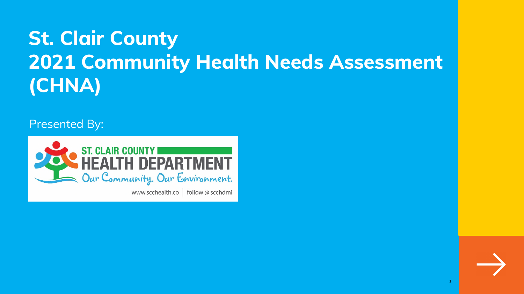# **St. Clair County 2021 Community Health Needs Assessment (CHNA)**

Presented By:

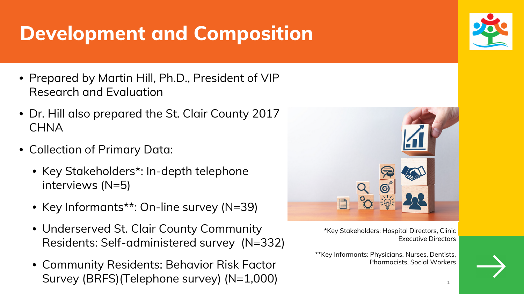# **Development and Composition**

- Prepared by Martin Hill, Ph.D., President of VIP Research and Evaluation
- Dr. Hill also prepared the St. Clair County 2017 **CHNA**
- Collection of Primary Data:
	- Key Stakeholders\*: In-depth telephone interviews (N=5)
	- Key Informants\*\*: On-line survey (N=39)
	- Underserved St. Clair County Community Residents: Self-administered survey (N=332)
	- Community Residents: Behavior Risk Factor Survey (BRFS) (Telephone survey) (N=1,000)





\*Key Stakeholders: Hospital Directors, Clinic Executive Directors

\*\*Key Informants: Physicians, Nurses, Dentists, Pharmacists, Social Workers

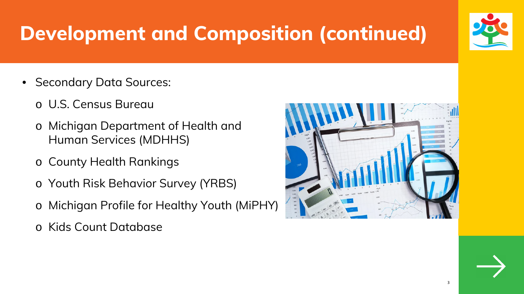# **Development and Composition (continued)**

- Secondary Data Sources:
	- o U.S. Census Bureau
	- o Michigan Department of Health and Human Services (MDHHS)
	- o County Health Rankings
	- o Youth Risk Behavior Survey (YRBS)
	- o Michigan Profile for Healthy Youth (MiPHY)
	- o Kids Count Database





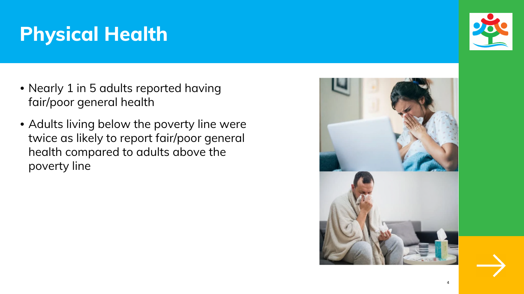# **Physical Health**

- Nearly 1 in 5 adults reported having fair/poor general health
- Adults living below the poverty line were twice as likely to report fair/poor general health compared to adults above the poverty line







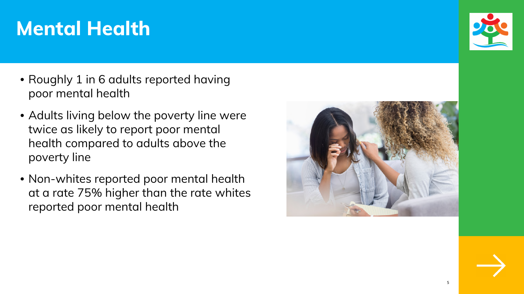# **Mental Health**

- Roughly 1 in 6 adults reported having poor mental health
- Adults living below the poverty line were twice as likely to report poor mental health compared to adults above the poverty line
- Non-whites reported poor mental health at a rate 75% higher than the rate whites reported poor mental health







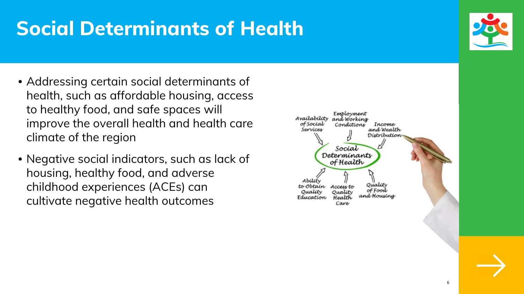# **Social Determinants of Health**

- Addressing certain social determinants of health, such as affordable housing, access to healthy food, and safe spaces will improve the overall health and health care climate of the region
- Negative social indicators, such as lack of housing, healthy food, and adverse childhood experiences (ACEs) can cultivate negative health outcomes





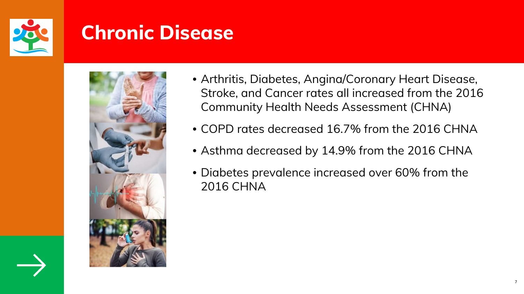

#### **Chronic Disease**



• Arthritis, Diabetes, Angina/Coronary Heart Disease, Stroke, and Cancer rates all increased from the 2016

• COPD rates decreased 16.7% from the 2016 CHNA

- Community Health Needs Assessment (CHNA)
- 
- 
- 2016 CHNA



• Asthma decreased by 14.9% from the 2016 CHNA

• Diabetes prevalence increased over 60% from the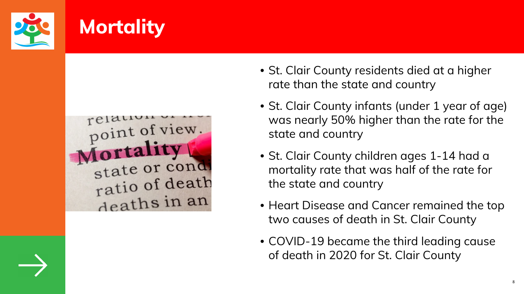

# **Mortality**

point of view. Mortality state or condi ratio of death deaths in an

• St. Clair County residents died at a higher rate than the state and country

• St. Clair County infants (under 1 year of age) was nearly 50% higher than the rate for the

• St. Clair County children ages 1-14 had a mortality rate that was half of the rate for

- 
- state and country
- the state and country
- 
- 



• Heart Disease and Cancer remained the top two causes of death in St. Clair County

• COVID-19 became the third leading cause of death in 2020 for St. Clair County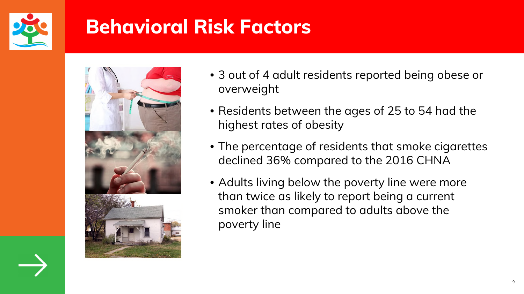

# **Behavioral Risk Factors**



#### • 3 out of 4 adult residents reported being obese or

- overweight
- Residents between the ages of 25 to 54 had the highest rates of obesity
- The percentage of residents that smoke cigarettes declined 36% compared to the 2016 CHNA
- Adults living below the poverty line were more than twice as likely to report being a current smoker than compared to adults above the poverty line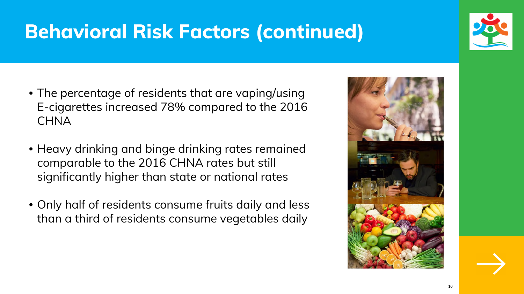### **Behavioral Risk Factors (continued)**

- The percentage of residents that are vaping/using E-cigarettes increased 78% compared to the 2016 **CHNA**
- Heavy drinking and binge drinking rates remained comparable to the 2016 CHNA rates but still significantly higher than state or national rates
- Only half of residents consume fruits daily and less than a third of residents consume vegetables daily







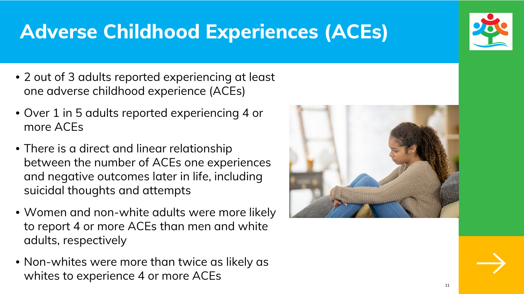# **Adverse Childhood Experiences (ACEs)**

- 2 out of 3 adults reported experiencing at least one adverse childhood experience (ACEs)
- Over 1 in 5 adults reported experiencing 4 or more ACEs
- There is a direct and linear relationship between the number of ACEs one experiences and negative outcomes later in life, including suicidal thoughts and attempts
- Women and non-white adults were more likely to report 4 or more ACEs than men and white adults, respectively
- Non-whites were more than twice as likely as whites to experience 4 or more ACEs









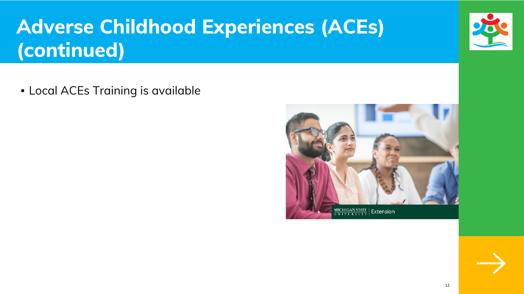• Local ACEs Training is available









# **Adverse Childhood Experiences (ACEs) (continued)**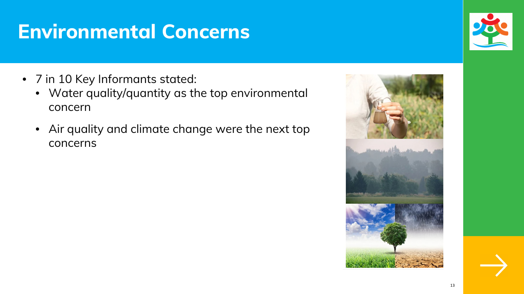### **Environmental Concerns**

- 7 in 10 Key Informants stated:
	- Water quality/quantity as the top environmental concern
	- Air quality and climate change were the next top concerns





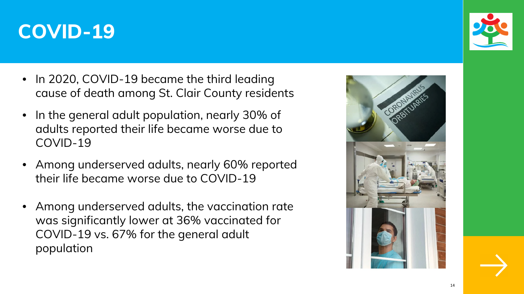

- In 2020, COVID-19 became the third leading cause of death among St. Clair County residents
- In the general adult population, nearly 30% of adults reported their life became worse due to COVID-19
- Among underserved adults, nearly 60% reported their life became worse due to COVID-19
- Among underserved adults, the vaccination rate was significantly lower at 36% vaccinated for COVID-19 vs. 67% for the general adult population





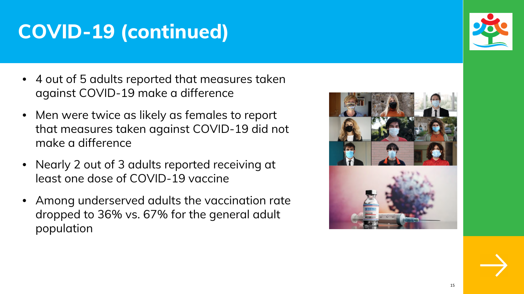# **COVID-19 (continued)**

- 4 out of 5 adults reported that measures taken against COVID-19 make a difference
- Men were twice as likely as females to report that measures taken against COVID-19 did not make a difference
- Nearly 2 out of 3 adults reported receiving at least one dose of COVID-19 vaccine
- Among underserved adults the vaccination rate dropped to 36% vs. 67% for the general adult population







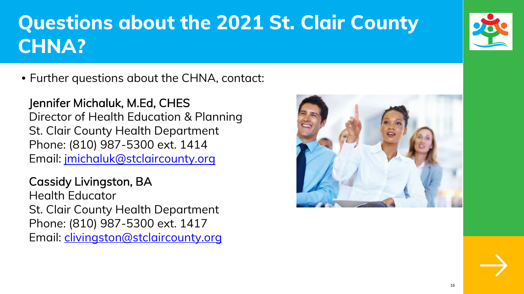# **Questions about the 2021 St. Clair County CHNA?**

• Further questions about the CHNA, contact:

Jennifer Michaluk, M.Ed, CHES Director of Health Education & Planning St. Clair County Health Department Phone: (810) 987-5300 ext. 1414 Email: jmichaluk@stclaircounty.org

Cassidy Livingston, BA Health Educator St. Clair County Health Department Phone: (810) 987-5300 ext. 1417 Email: clivingston@stclaircounty.org